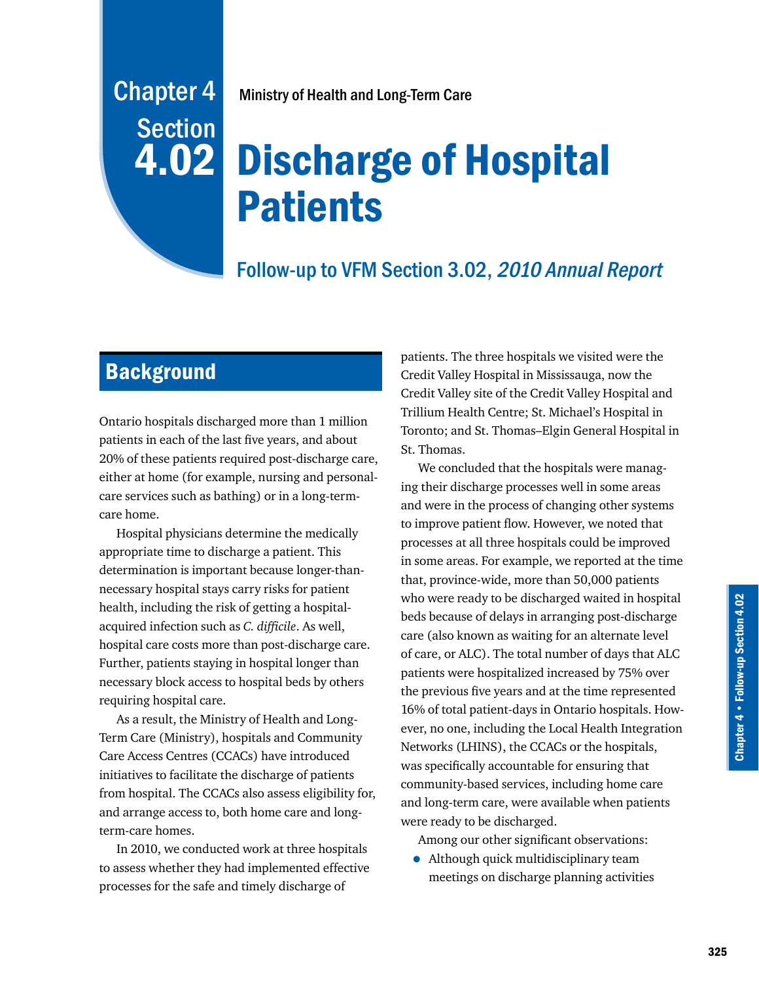# Chapter 4 Ministry of Health and Long-Term Care

# Discharge of Hospital Patients

# Follow-up to VFM Section 3.02, 2010 Annual Report

# **Background**

**Section** 

4.02

Ontario hospitals discharged more than 1 million patients in each of the last five years, and about 20% of these patients required post-discharge care, either at home (for example, nursing and personalcare services such as bathing) or in a long-termcare home.

Hospital physicians determine the medically appropriate time to discharge a patient. This determination is important because longer-thannecessary hospital stays carry risks for patient health, including the risk of getting a hospitalacquired infection such as *C. difficile*. As well, hospital care costs more than post-discharge care. Further, patients staying in hospital longer than necessary block access to hospital beds by others requiring hospital care.

As a result, the Ministry of Health and Long-Term Care (Ministry), hospitals and Community Care Access Centres (CCACs) have introduced initiatives to facilitate the discharge of patients from hospital. The CCACs also assess eligibility for, and arrange access to, both home care and longterm-care homes.

In 2010, we conducted work at three hospitals to assess whether they had implemented effective processes for the safe and timely discharge of

patients. The three hospitals we visited were the Credit Valley Hospital in Mississauga, now the Credit Valley site of the Credit Valley Hospital and Trillium Health Centre; St. Michael's Hospital in Toronto; and St. Thomas–Elgin General Hospital in St. Thomas.

We concluded that the hospitals were managing their discharge processes well in some areas and were in the process of changing other systems to improve patient flow. However, we noted that processes at all three hospitals could be improved in some areas. For example, we reported at the time that, province-wide, more than 50,000 patients who were ready to be discharged waited in hospital beds because of delays in arranging post-discharge care (also known as waiting for an alternate level of care, or ALC). The total number of days that ALC patients were hospitalized increased by 75% over the previous five years and at the time represented 16% of total patient-days in Ontario hospitals. However, no one, including the Local Health Integration Networks (LHINS), the CCACs or the hospitals, was specifically accountable for ensuring that community-based services, including home care and long-term care, were available when patients were ready to be discharged.

Among our other significant observations:

• Although quick multidisciplinary team meetings on discharge planning activities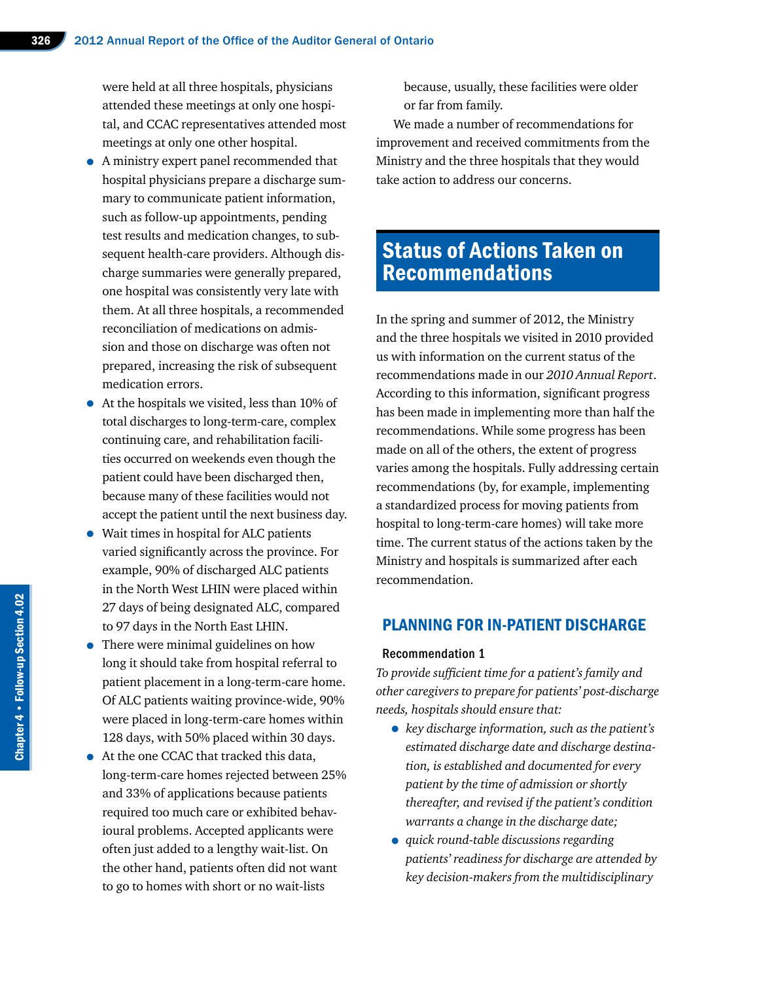were held at all three hospitals, physicians attended these meetings at only one hospital, and CCAC representatives attended most meetings at only one other hospital.

- A ministry expert panel recommended that hospital physicians prepare a discharge summary to communicate patient information, such as follow-up appointments, pending test results and medication changes, to subsequent health-care providers. Although discharge summaries were generally prepared, one hospital was consistently very late with them. At all three hospitals, a recommended reconciliation of medications on admission and those on discharge was often not prepared, increasing the risk of subsequent medication errors.
- At the hospitals we visited, less than 10% of total discharges to long-term-care, complex continuing care, and rehabilitation facilities occurred on weekends even though the patient could have been discharged then, because many of these facilities would not accept the patient until the next business day.
- Wait times in hospital for ALC patients varied significantly across the province. For example, 90% of discharged ALC patients in the North West LHIN were placed within 27 days of being designated ALC, compared to 97 days in the North East LHIN.
- There were minimal guidelines on how long it should take from hospital referral to patient placement in a long-term-care home. Of ALC patients waiting province-wide, 90% were placed in long-term-care homes within 128 days, with 50% placed within 30 days.
- At the one CCAC that tracked this data, long-term-care homes rejected between 25% and 33% of applications because patients required too much care or exhibited behavioural problems. Accepted applicants were often just added to a lengthy wait-list. On the other hand, patients often did not want to go to homes with short or no wait-lists

because, usually, these facilities were older or far from family.

We made a number of recommendations for improvement and received commitments from the Ministry and the three hospitals that they would take action to address our concerns.

# Status of Actions Taken on Recommendations

In the spring and summer of 2012, the Ministry and the three hospitals we visited in 2010 provided us with information on the current status of the recommendations made in our *2010 Annual Report*. According to this information, significant progress has been made in implementing more than half the recommendations. While some progress has been made on all of the others, the extent of progress varies among the hospitals. Fully addressing certain recommendations (by, for example, implementing a standardized process for moving patients from hospital to long-term-care homes) will take more time. The current status of the actions taken by the Ministry and hospitals is summarized after each recommendation.

## PLANNING FOR IN-PATIENT DISCHARGE

#### Recommendation 1

*To provide sufficient time for a patient's family and other caregivers to prepare for patients' post-discharge needs, hospitals should ensure that:*

- *key discharge information, such as the patient's estimated discharge date and discharge destination, is established and documented for every patient by the time of admission or shortly thereafter, and revised if the patient's condition warrants a change in the discharge date;*
- *quick round-table discussions regarding patients' readiness for discharge are attended by key decision-makers from the multidisciplinary*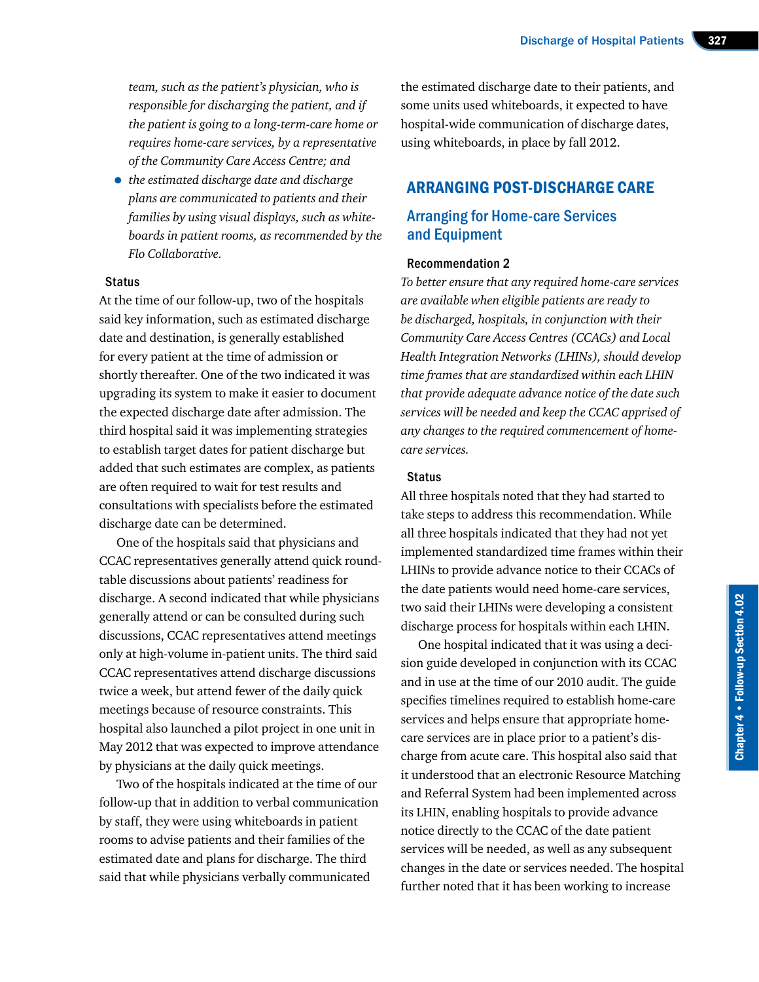*team, such as the patient's physician, who is responsible for discharging the patient, and if the patient is going to a long-term-care home or requires home-care services, by a representative of the Community Care Access Centre; and* 

• *the estimated discharge date and discharge plans are communicated to patients and their families by using visual displays, such as whiteboards in patient rooms, as recommended by the Flo Collaborative.* 

#### **Status**

At the time of our follow-up, two of the hospitals said key information, such as estimated discharge date and destination, is generally established for every patient at the time of admission or shortly thereafter. One of the two indicated it was upgrading its system to make it easier to document the expected discharge date after admission. The third hospital said it was implementing strategies to establish target dates for patient discharge but added that such estimates are complex, as patients are often required to wait for test results and consultations with specialists before the estimated discharge date can be determined.

One of the hospitals said that physicians and CCAC representatives generally attend quick roundtable discussions about patients' readiness for discharge. A second indicated that while physicians generally attend or can be consulted during such discussions, CCAC representatives attend meetings only at high-volume in-patient units. The third said CCAC representatives attend discharge discussions twice a week, but attend fewer of the daily quick meetings because of resource constraints. This hospital also launched a pilot project in one unit in May 2012 that was expected to improve attendance by physicians at the daily quick meetings.

Two of the hospitals indicated at the time of our follow-up that in addition to verbal communication by staff, they were using whiteboards in patient rooms to advise patients and their families of the estimated date and plans for discharge. The third said that while physicians verbally communicated

the estimated discharge date to their patients, and some units used whiteboards, it expected to have hospital-wide communication of discharge dates, using whiteboards, in place by fall 2012.

## ARRANGING POST-DISCHARGE CARE

## Arranging for Home-care Services and Equipment

#### Recommendation 2

*To better ensure that any required home-care services are available when eligible patients are ready to be discharged, hospitals, in conjunction with their Community Care Access Centres (CCACs) and Local Health Integration Networks (LHINs), should develop time frames that are standardized within each LHIN that provide adequate advance notice of the date such services will be needed and keep the CCAC apprised of any changes to the required commencement of homecare services.* 

#### **Status**

All three hospitals noted that they had started to take steps to address this recommendation. While all three hospitals indicated that they had not yet implemented standardized time frames within their LHINs to provide advance notice to their CCACs of the date patients would need home-care services, two said their LHINs were developing a consistent discharge process for hospitals within each LHIN.

One hospital indicated that it was using a decision guide developed in conjunction with its CCAC and in use at the time of our 2010 audit. The guide specifies timelines required to establish home-care services and helps ensure that appropriate homecare services are in place prior to a patient's discharge from acute care. This hospital also said that it understood that an electronic Resource Matching and Referral System had been implemented across its LHIN, enabling hospitals to provide advance notice directly to the CCAC of the date patient services will be needed, as well as any subsequent changes in the date or services needed. The hospital further noted that it has been working to increase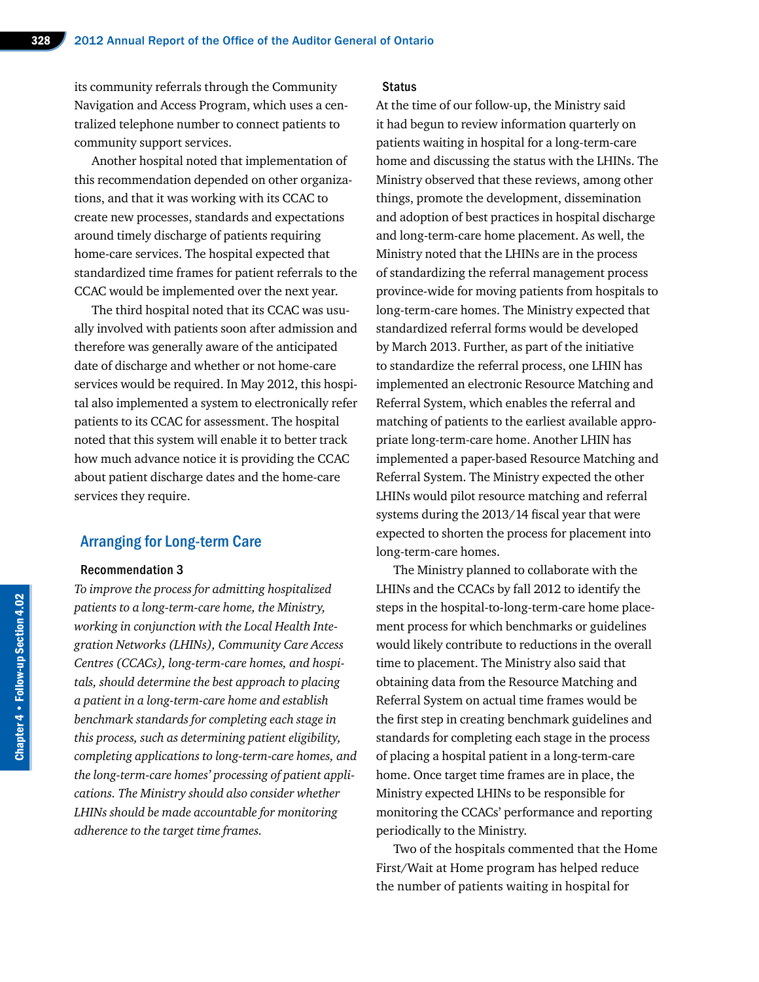its community referrals through the Community Navigation and Access Program, which uses a centralized telephone number to connect patients to community support services.

Another hospital noted that implementation of this recommendation depended on other organizations, and that it was working with its CCAC to create new processes, standards and expectations around timely discharge of patients requiring home-care services. The hospital expected that standardized time frames for patient referrals to the CCAC would be implemented over the next year.

The third hospital noted that its CCAC was usually involved with patients soon after admission and therefore was generally aware of the anticipated date of discharge and whether or not home-care services would be required. In May 2012, this hospital also implemented a system to electronically refer patients to its CCAC for assessment. The hospital noted that this system will enable it to better track how much advance notice it is providing the CCAC about patient discharge dates and the home-care services they require.

#### Arranging for Long-term Care

#### Recommendation 3

*To improve the process for admitting hospitalized patients to a long-term-care home, the Ministry, working in conjunction with the Local Health Integration Networks (LHINs), Community Care Access Centres (CCACs), long-term-care homes, and hospitals, should determine the best approach to placing a patient in a long-term-care home and establish benchmark standards for completing each stage in this process, such as determining patient eligibility, completing applications to long-term-care homes, and the long-term-care homes' processing of patient applications. The Ministry should also consider whether LHINs should be made accountable for monitoring adherence to the target time frames.* 

#### **Status**

At the time of our follow-up, the Ministry said it had begun to review information quarterly on patients waiting in hospital for a long-term-care home and discussing the status with the LHINs. The Ministry observed that these reviews, among other things, promote the development, dissemination and adoption of best practices in hospital discharge and long-term-care home placement. As well, the Ministry noted that the LHINs are in the process of standardizing the referral management process province-wide for moving patients from hospitals to long-term-care homes. The Ministry expected that standardized referral forms would be developed by March 2013. Further, as part of the initiative to standardize the referral process, one LHIN has implemented an electronic Resource Matching and Referral System, which enables the referral and matching of patients to the earliest available appropriate long-term-care home. Another LHIN has implemented a paper-based Resource Matching and Referral System. The Ministry expected the other LHINs would pilot resource matching and referral systems during the 2013/14 fiscal year that were expected to shorten the process for placement into long-term-care homes.

The Ministry planned to collaborate with the LHINs and the CCACs by fall 2012 to identify the steps in the hospital-to-long-term-care home placement process for which benchmarks or guidelines would likely contribute to reductions in the overall time to placement. The Ministry also said that obtaining data from the Resource Matching and Referral System on actual time frames would be the first step in creating benchmark guidelines and standards for completing each stage in the process of placing a hospital patient in a long-term-care home. Once target time frames are in place, the Ministry expected LHINs to be responsible for monitoring the CCACs' performance and reporting periodically to the Ministry.

Two of the hospitals commented that the Home First/Wait at Home program has helped reduce the number of patients waiting in hospital for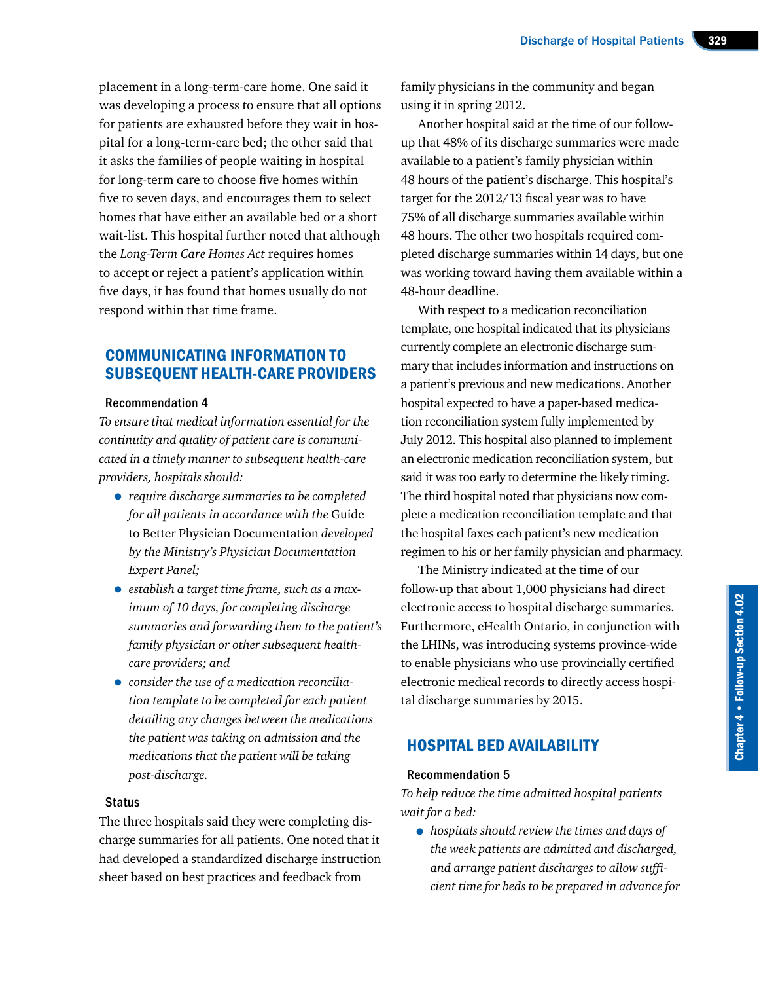placement in a long-term-care home. One said it was developing a process to ensure that all options for patients are exhausted before they wait in hospital for a long-term-care bed; the other said that it asks the families of people waiting in hospital for long-term care to choose five homes within five to seven days, and encourages them to select homes that have either an available bed or a short wait-list. This hospital further noted that although the *Long-Term Care Homes Act* requires homes to accept or reject a patient's application within five days, it has found that homes usually do not respond within that time frame.

# COMMUNICATING INFORMATION TO SUBSEQUENT HEALTH-CARE PROVIDERS

#### Recommendation 4

*To ensure that medical information essential for the continuity and quality of patient care is communicated in a timely manner to subsequent health-care providers, hospitals should:*

- *require discharge summaries to be completed for all patients in accordance with the* Guide to Better Physician Documentation *developed by the Ministry's Physician Documentation Expert Panel;*
- *establish a target time frame, such as a maximum of 10 days, for completing discharge summaries and forwarding them to the patient's family physician or other subsequent healthcare providers; and*
- *consider the use of a medication reconciliation template to be completed for each patient detailing any changes between the medications the patient was taking on admission and the medications that the patient will be taking post-discharge.*

#### **Status**

The three hospitals said they were completing discharge summaries for all patients. One noted that it had developed a standardized discharge instruction sheet based on best practices and feedback from

family physicians in the community and began using it in spring 2012.

Another hospital said at the time of our followup that 48% of its discharge summaries were made available to a patient's family physician within 48 hours of the patient's discharge. This hospital's target for the 2012/13 fiscal year was to have 75% of all discharge summaries available within 48 hours. The other two hospitals required completed discharge summaries within 14 days, but one was working toward having them available within a 48-hour deadline.

With respect to a medication reconciliation template, one hospital indicated that its physicians currently complete an electronic discharge summary that includes information and instructions on a patient's previous and new medications. Another hospital expected to have a paper-based medication reconciliation system fully implemented by July 2012. This hospital also planned to implement an electronic medication reconciliation system, but said it was too early to determine the likely timing. The third hospital noted that physicians now complete a medication reconciliation template and that the hospital faxes each patient's new medication regimen to his or her family physician and pharmacy.

The Ministry indicated at the time of our follow-up that about 1,000 physicians had direct electronic access to hospital discharge summaries. Furthermore, eHealth Ontario, in conjunction with the LHINs, was introducing systems province-wide to enable physicians who use provincially certified electronic medical records to directly access hospital discharge summaries by 2015.

# HOSPITAL BED AVAILABILITY

#### Recommendation 5

*To help reduce the time admitted hospital patients wait for a bed:*

• *hospitals should review the times and days of the week patients are admitted and discharged, and arrange patient discharges to allow sufficient time for beds to be prepared in advance for*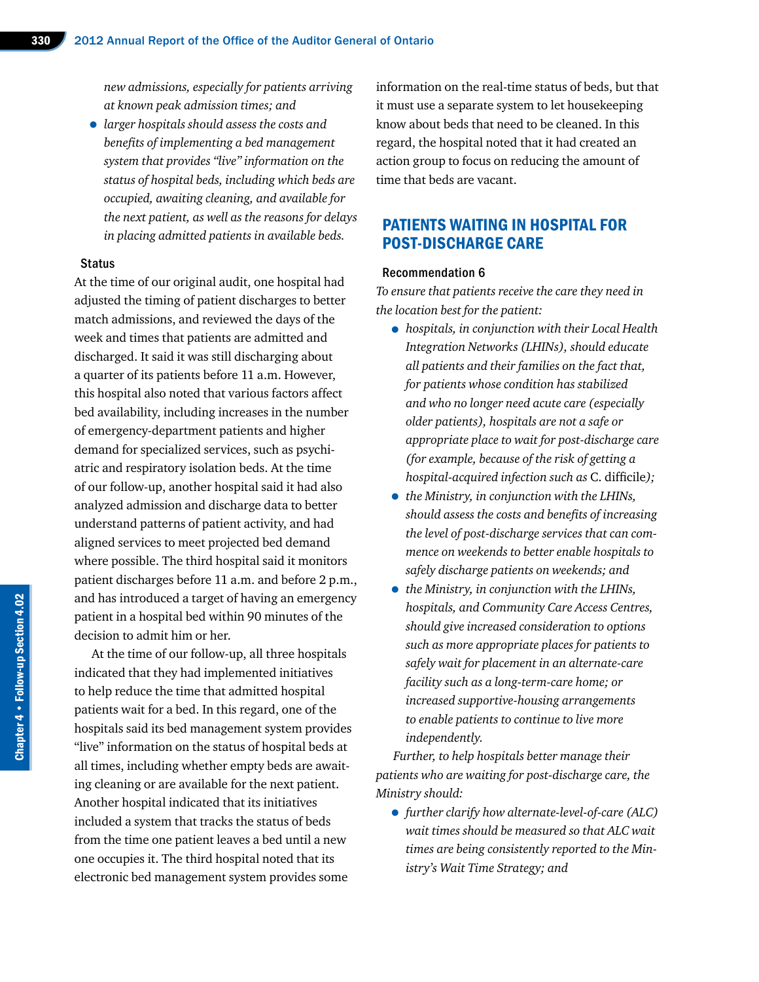*new admissions, especially for patients arriving at known peak admission times; and* 

• *larger hospitals should assess the costs and benefits of implementing a bed management system that provides "live" information on the status of hospital beds, including which beds are occupied, awaiting cleaning, and available for the next patient, as well as the reasons for delays in placing admitted patients in available beds.* 

#### **Status**

At the time of our original audit, one hospital had adjusted the timing of patient discharges to better match admissions, and reviewed the days of the week and times that patients are admitted and discharged. It said it was still discharging about a quarter of its patients before 11 a.m. However, this hospital also noted that various factors affect bed availability, including increases in the number of emergency-department patients and higher demand for specialized services, such as psychiatric and respiratory isolation beds. At the time of our follow-up, another hospital said it had also analyzed admission and discharge data to better understand patterns of patient activity, and had aligned services to meet projected bed demand where possible. The third hospital said it monitors patient discharges before 11 a.m. and before 2 p.m., and has introduced a target of having an emergency patient in a hospital bed within 90 minutes of the decision to admit him or her.

At the time of our follow-up, all three hospitals indicated that they had implemented initiatives to help reduce the time that admitted hospital patients wait for a bed. In this regard, one of the hospitals said its bed management system provides "live" information on the status of hospital beds at all times, including whether empty beds are awaiting cleaning or are available for the next patient. Another hospital indicated that its initiatives included a system that tracks the status of beds from the time one patient leaves a bed until a new one occupies it. The third hospital noted that its electronic bed management system provides some

information on the real-time status of beds, but that it must use a separate system to let housekeeping know about beds that need to be cleaned. In this regard, the hospital noted that it had created an action group to focus on reducing the amount of time that beds are vacant.

# PATIENTS WAITING IN HOSPITAL FOR POST-DISCHARGE CARE

#### Recommendation 6

*To ensure that patients receive the care they need in the location best for the patient:*

- *hospitals, in conjunction with their Local Health Integration Networks (LHINs), should educate all patients and their families on the fact that, for patients whose condition has stabilized and who no longer need acute care (especially older patients), hospitals are not a safe or appropriate place to wait for post-discharge care (for example, because of the risk of getting a hospital-acquired infection such as* C. difficile*);*
- *the Ministry, in conjunction with the LHINs, should assess the costs and benefits of increasing the level of post-discharge services that can commence on weekends to better enable hospitals to safely discharge patients on weekends; and*
- *the Ministry, in conjunction with the LHINs, hospitals, and Community Care Access Centres, should give increased consideration to options such as more appropriate places for patients to safely wait for placement in an alternate-care facility such as a long-term-care home; or increased supportive-housing arrangements to enable patients to continue to live more independently.*

*Further, to help hospitals better manage their patients who are waiting for post-discharge care, the Ministry should:*

• *further clarify how alternate-level-of-care (ALC) wait times should be measured so that ALC wait times are being consistently reported to the Ministry's Wait Time Strategy; and*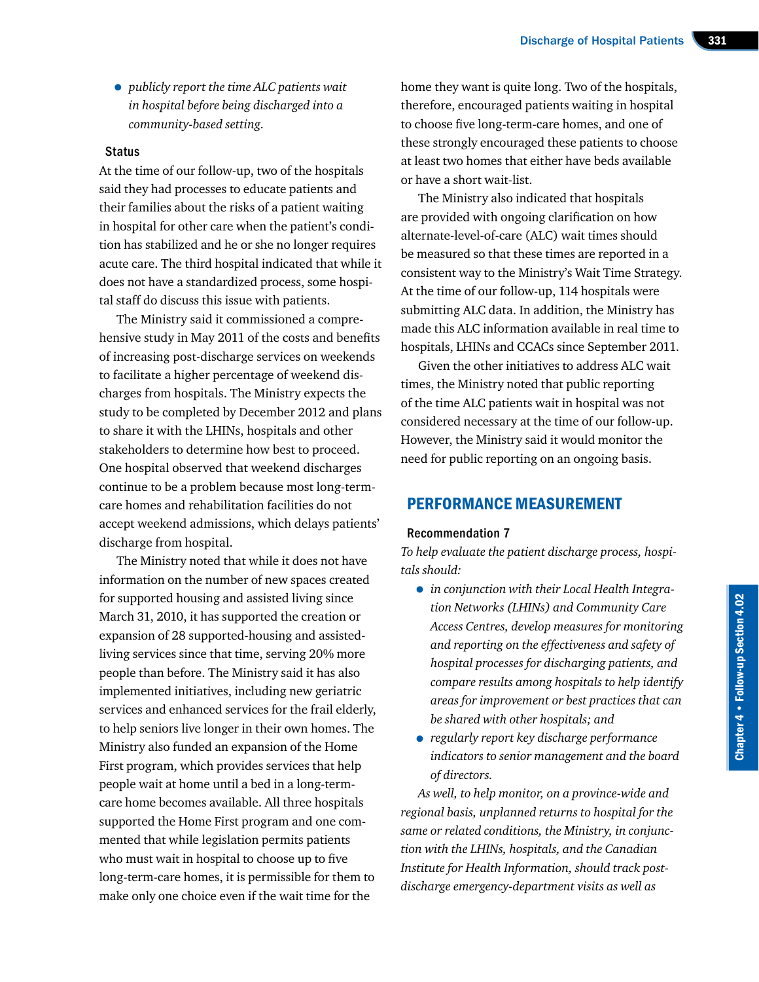• *publicly report the time ALC patients wait in hospital before being discharged into a community-based setting.* 

#### **Status**

At the time of our follow-up, two of the hospitals said they had processes to educate patients and their families about the risks of a patient waiting in hospital for other care when the patient's condition has stabilized and he or she no longer requires acute care. The third hospital indicated that while it does not have a standardized process, some hospital staff do discuss this issue with patients.

The Ministry said it commissioned a comprehensive study in May 2011 of the costs and benefits of increasing post-discharge services on weekends to facilitate a higher percentage of weekend discharges from hospitals. The Ministry expects the study to be completed by December 2012 and plans to share it with the LHINs, hospitals and other stakeholders to determine how best to proceed. One hospital observed that weekend discharges continue to be a problem because most long-termcare homes and rehabilitation facilities do not accept weekend admissions, which delays patients' discharge from hospital.

The Ministry noted that while it does not have information on the number of new spaces created for supported housing and assisted living since March 31, 2010, it has supported the creation or expansion of 28 supported-housing and assistedliving services since that time, serving 20% more people than before. The Ministry said it has also implemented initiatives, including new geriatric services and enhanced services for the frail elderly, to help seniors live longer in their own homes. The Ministry also funded an expansion of the Home First program, which provides services that help people wait at home until a bed in a long-termcare home becomes available. All three hospitals supported the Home First program and one commented that while legislation permits patients who must wait in hospital to choose up to five long-term-care homes, it is permissible for them to make only one choice even if the wait time for the

home they want is quite long. Two of the hospitals, therefore, encouraged patients waiting in hospital to choose five long-term-care homes, and one of these strongly encouraged these patients to choose at least two homes that either have beds available or have a short wait-list.

The Ministry also indicated that hospitals are provided with ongoing clarification on how alternate-level-of-care (ALC) wait times should be measured so that these times are reported in a consistent way to the Ministry's Wait Time Strategy. At the time of our follow-up, 114 hospitals were submitting ALC data. In addition, the Ministry has made this ALC information available in real time to hospitals, LHINs and CCACs since September 2011.

Given the other initiatives to address ALC wait times, the Ministry noted that public reporting of the time ALC patients wait in hospital was not considered necessary at the time of our follow-up. However, the Ministry said it would monitor the need for public reporting on an ongoing basis.

# PERFORMANCE MEASUREMENT

#### Recommendation 7

*To help evaluate the patient discharge process, hospitals should:*

- *in conjunction with their Local Health Integration Networks (LHINs) and Community Care Access Centres, develop measures for monitoring and reporting on the effectiveness and safety of hospital processes for discharging patients, and compare results among hospitals to help identify areas for improvement or best practices that can be shared with other hospitals; and*
- *regularly report key discharge performance indicators to senior management and the board of directors.*

*As well, to help monitor, on a province-wide and regional basis, unplanned returns to hospital for the same or related conditions, the Ministry, in conjunction with the LHINs, hospitals, and the Canadian Institute for Health Information, should track postdischarge emergency-department visits as well as*